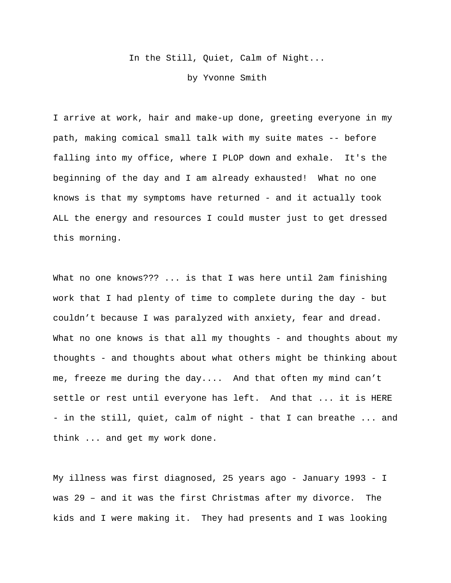In the Still, Quiet, Calm of Night...

by Yvonne Smith

I arrive at work, hair and make-up done, greeting everyone in my path, making comical small talk with my suite mates -- before falling into my office, where I PLOP down and exhale. It's the beginning of the day and I am already exhausted! What no one knows is that my symptoms have returned - and it actually took ALL the energy and resources I could muster just to get dressed this morning.

What no one knows??? ... is that I was here until 2am finishing work that I had plenty of time to complete during the day - but couldn't because I was paralyzed with anxiety, fear and dread. What no one knows is that all my thoughts - and thoughts about my thoughts - and thoughts about what others might be thinking about me, freeze me during the day.... And that often my mind can't settle or rest until everyone has left. And that ... it is HERE - in the still, quiet, calm of night - that I can breathe ... and think ... and get my work done.

My illness was first diagnosed, 25 years ago - January 1993 - I was 29 – and it was the first Christmas after my divorce. The kids and I were making it. They had presents and I was looking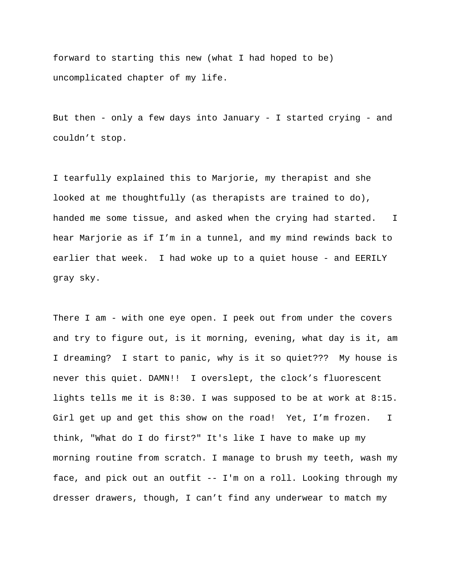forward to starting this new (what I had hoped to be) uncomplicated chapter of my life.

But then - only a few days into January - I started crying - and couldn't stop.

I tearfully explained this to Marjorie, my therapist and she looked at me thoughtfully (as therapists are trained to do), handed me some tissue, and asked when the crying had started. I hear Marjorie as if I'm in a tunnel, and my mind rewinds back to earlier that week. I had woke up to a quiet house - and EERILY gray sky.

There I am - with one eye open. I peek out from under the covers and try to figure out, is it morning, evening, what day is it, am I dreaming? I start to panic, why is it so quiet??? My house is never this quiet. DAMN!! I overslept, the clock's fluorescent lights tells me it is 8:30. I was supposed to be at work at 8:15. Girl get up and get this show on the road! Yet, I'm frozen. I think, "What do I do first?" It's like I have to make up my morning routine from scratch. I manage to brush my teeth, wash my face, and pick out an outfit -- I'm on a roll. Looking through my dresser drawers, though, I can't find any underwear to match my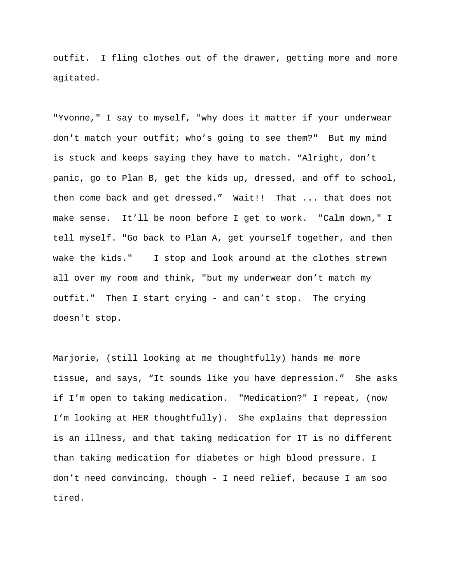outfit. I fling clothes out of the drawer, getting more and more agitated.

"Yvonne," I say to myself, "why does it matter if your underwear don't match your outfit; who's going to see them?" But my mind is stuck and keeps saying they have to match. "Alright, don't panic, go to Plan B, get the kids up, dressed, and off to school, then come back and get dressed." Wait!! That ... that does not make sense. It'll be noon before I get to work. "Calm down," I tell myself. "Go back to Plan A, get yourself together, and then wake the kids." I stop and look around at the clothes strewn all over my room and think, "but my underwear don't match my outfit." Then I start crying - and can't stop. The crying doesn't stop.

Marjorie, (still looking at me thoughtfully) hands me more tissue, and says, "It sounds like you have depression." She asks if I'm open to taking medication. "Medication?" I repeat, (now I'm looking at HER thoughtfully). She explains that depression is an illness, and that taking medication for IT is no different than taking medication for diabetes or high blood pressure. I don't need convincing, though - I need relief, because I am soo tired.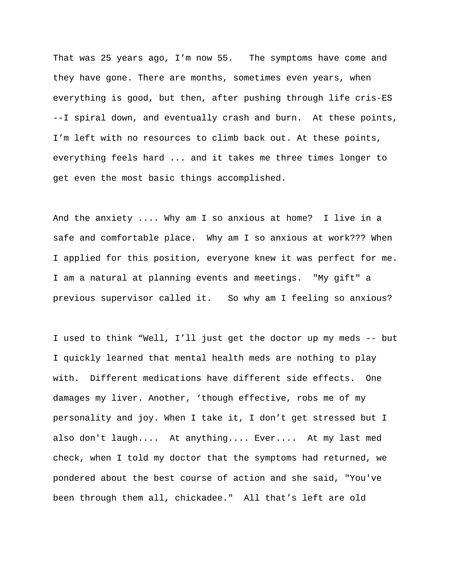That was 25 years ago, I'm now 55. The symptoms have come and they have gone. There are months, sometimes even years, when everything is good, but then, after pushing through life cris-ES --I spiral down, and eventually crash and burn. At these points, I'm left with no resources to climb back out. At these points, everything feels hard ... and it takes me three times longer to get even the most basic things accomplished.

And the anxiety .... Why am I so anxious at home? I live in a safe and comfortable place. Why am I so anxious at work??? When I applied for this position, everyone knew it was perfect for me. I am a natural at planning events and meetings. "My gift" a previous supervisor called it. So why am I feeling so anxious?

I used to think "Well, I'll just get the doctor up my meds -- but I quickly learned that mental health meds are nothing to play with. Different medications have different side effects. One damages my liver. Another, 'though effective, robs me of my personality and joy. When I take it, I don't get stressed but I also don't laugh.... At anything.... Ever.... At my last med check, when I told my doctor that the symptoms had returned, we pondered about the best course of action and she said, "You've been through them all, chickadee." All that's left are old